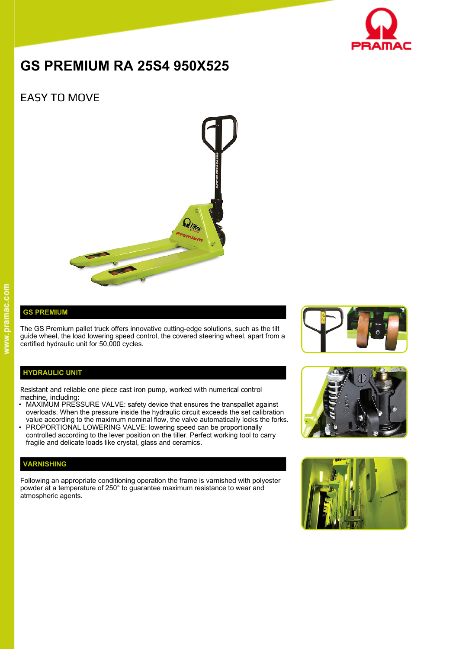

# **GS PREMIUM RA 25S4 950X525**

## EASY TO MOVE



### **GS PREMIUM**

The GS Premium pallet truck offers innovative cutting-edge solutions, such as the tilt guide wheel, the load lowering speed control, the covered steering wheel, apart from a certified hydraulic unit for 50,000 cycles.

#### **HYDRAULIC UNIT**

Resistant and reliable one piece cast iron pump, worked with numerical control machine, including:

- MAXIMUM PRESSURE VALVE: safety device that ensures the transpallet against overloads. When the pressure inside the hydraulic circuit exceeds the set calibration value according to the maximum nominal flow, the valve automatically locks the forks.
- PROPORTIONAL LOWERING VALVE: lowering speed can be proportionally controlled according to the lever position on the tiller. Perfect working tool to carry fragile and delicate loads like crystal, glass and ceramics.

#### **VARNISHING**

Following an appropriate conditioning operation the frame is varnished with polyester powder at a temperature of 250° to guarantee maximum resistance to wear and atmospheric agents.





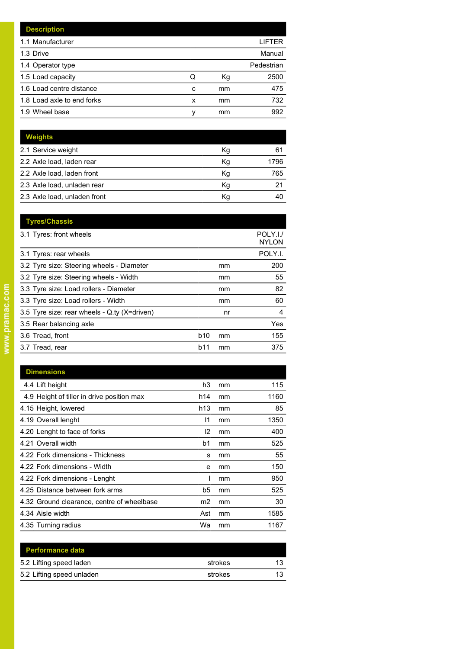|   |    | LIFTER     |
|---|----|------------|
|   |    | Manual     |
|   |    | Pedestrian |
| Q | Кg | 2500       |
| C | mm | 475        |
| x | mm | 732        |
| ν | mm | 992        |
|   |    |            |

| <b>Weights</b>               |    |      |
|------------------------------|----|------|
| 2.1 Service weight           | Kg | 61   |
| 2.2 Axle load, laden rear    | Kg | 1796 |
| 2.2 Axle load, laden front   | Kg | 765  |
| 2.3 Axle load, unladen rear  | Kq | 21   |
| 2.3 Axle load, unladen front | Κq |      |

| <b>Tyres/Chassis</b>                         |                 |    | POLY.I./     |
|----------------------------------------------|-----------------|----|--------------|
| 3.1 Tyres: front wheels                      |                 |    | <b>NYLON</b> |
| 3.1 Tyres: rear wheels                       |                 |    | POLY.I.      |
| 3.2 Tyre size: Steering wheels - Diameter    |                 | mm | 200          |
| 3.2 Tyre size: Steering wheels - Width       |                 | mm | 55           |
| 3.3 Tyre size: Load rollers - Diameter       |                 | mm | 82           |
| 3.3 Tyre size: Load rollers - Width          |                 | mm | 60           |
| 3.5 Tyre size: rear wheels - Q.ty (X=driven) |                 | nr | 4            |
| 3.5 Rear balancing axle                      |                 |    | Yes          |
| 3.6 Tread, front                             | b <sub>10</sub> | mm | 155          |
| 3.7 Tread, rear                              | b11             | mm | 375          |
|                                              |                 |    |              |

| <b>Dimensions</b>                          |                |    |      |
|--------------------------------------------|----------------|----|------|
| 4.4 Lift height                            | h3             | mm | 115  |
| 4.9 Height of tiller in drive position max | h14            | mm | 1160 |
| 4.15 Height, lowered                       | h13            | mm | 85   |
| 4.19 Overall lenght                        | 11             | mm | 1350 |
| 4.20 Lenght to face of forks               | 12             | mm | 400  |
| 4.21 Overall width                         | b <sub>1</sub> | mm | 525  |
| 4.22 Fork dimensions - Thickness           | s              | mm | 55   |
| 4.22 Fork dimensions - Width               | e              | mm | 150  |
| 4.22 Fork dimensions - Lenght              |                | mm | 950  |
| 4.25 Distance between fork arms            | b5             | mm | 525  |
| 4.32 Ground clearance, centre of wheelbase | m2             | mm | 30   |
| 4.34 Aisle width                           | Ast            | mm | 1585 |
| 4.35 Turning radius                        | Wa             | mm | 1167 |

| <b>Performance data</b>   |         |    |
|---------------------------|---------|----|
| 5.2 Lifting speed laden   | strokes | 13 |
| 5.2 Lifting speed unladen | strokes | 13 |
|                           |         |    |